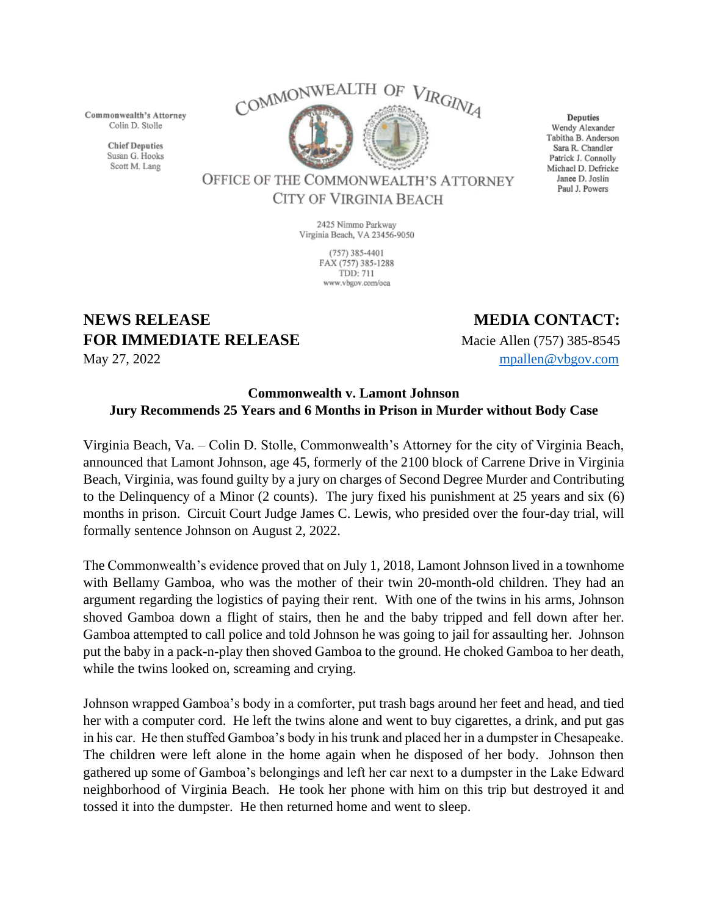Commonwealth's Attorney Colin D. Stolle

> **Chief Deputies** Susan G. Hooks Scott M. Lang



Deputies Wendy Alexander Tabitha B. Anderson Sara R. Chandler Patrick J. Connolly Michael D. Defricke Janee D. Joslin Paul J. Powers

OFFICE OF THE COMMONWEALTH'S ATTORNEY CITY OF VIRGINIA BEACH

> 2425 Nimmo Parkway Virginia Beach, VA 23456-9050

> > $(757)$  385-4401 FAX (757) 385-1288 **TDD: 711** www.vbgov.com/oca

## **NEWS RELEASE MEDIA CONTACT: FOR IMMEDIATE RELEASE** Macie Allen (757) 385-8545

May 27, 2022 [mpallen@vbgov.com](mailto:mpallen@vbgov.com)

## **Commonwealth v. Lamont Johnson Jury Recommends 25 Years and 6 Months in Prison in Murder without Body Case**

Virginia Beach, Va. – Colin D. Stolle, Commonwealth's Attorney for the city of Virginia Beach, announced that Lamont Johnson, age 45, formerly of the 2100 block of Carrene Drive in Virginia Beach, Virginia, was found guilty by a jury on charges of Second Degree Murder and Contributing to the Delinquency of a Minor (2 counts). The jury fixed his punishment at 25 years and six (6) months in prison. Circuit Court Judge James C. Lewis, who presided over the four-day trial, will formally sentence Johnson on August 2, 2022.

The Commonwealth's evidence proved that on July 1, 2018, Lamont Johnson lived in a townhome with Bellamy Gamboa, who was the mother of their twin 20-month-old children. They had an argument regarding the logistics of paying their rent. With one of the twins in his arms, Johnson shoved Gamboa down a flight of stairs, then he and the baby tripped and fell down after her. Gamboa attempted to call police and told Johnson he was going to jail for assaulting her. Johnson put the baby in a pack-n-play then shoved Gamboa to the ground. He choked Gamboa to her death, while the twins looked on, screaming and crying.

Johnson wrapped Gamboa's body in a comforter, put trash bags around her feet and head, and tied her with a computer cord. He left the twins alone and went to buy cigarettes, a drink, and put gas in his car. He then stuffed Gamboa's body in his trunk and placed her in a dumpster in Chesapeake. The children were left alone in the home again when he disposed of her body. Johnson then gathered up some of Gamboa's belongings and left her car next to a dumpster in the Lake Edward neighborhood of Virginia Beach. He took her phone with him on this trip but destroyed it and tossed it into the dumpster. He then returned home and went to sleep.